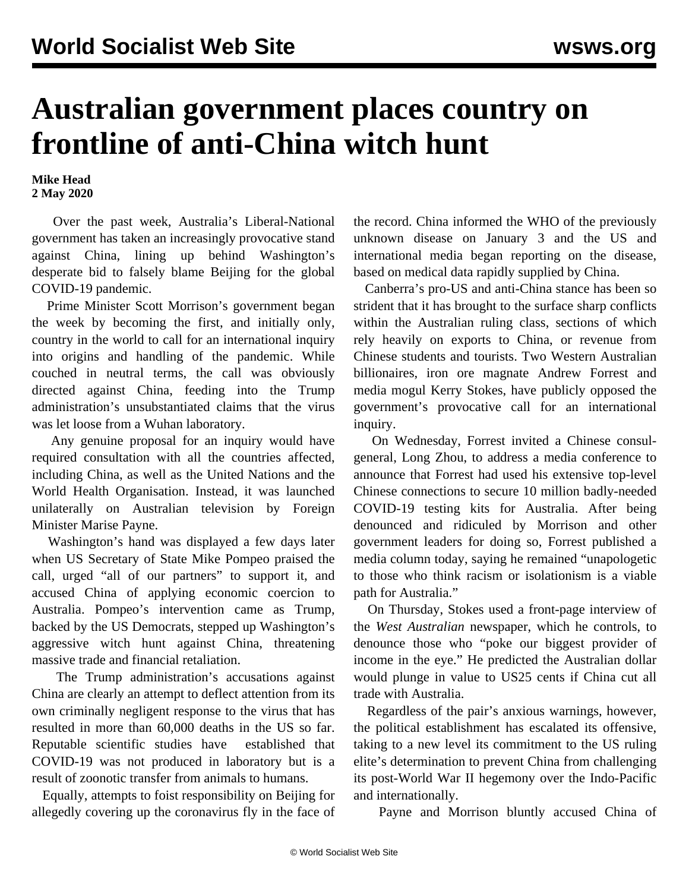## **Australian government places country on frontline of anti-China witch hunt**

**Mike Head 2 May 2020**

 Over the past week, Australia's Liberal-National government has taken an increasingly provocative stand against China, lining up behind Washington's desperate bid to falsely blame Beijing for the global COVID-19 pandemic.

 Prime Minister Scott Morrison's government began the week by becoming the first, and initially only, country in the world to call for an international inquiry into origins and handling of the pandemic. While couched in neutral terms, the call was obviously directed against China, feeding into the Trump administration's unsubstantiated claims that the virus was let loose from a Wuhan laboratory.

 Any genuine proposal for an inquiry would have required consultation with all the countries affected, including China, as well as the United Nations and the World Health Organisation. Instead, it was launched unilaterally on Australian television by Foreign Minister Marise Payne.

 Washington's hand was displayed a few days later when US Secretary of State Mike Pompeo praised the call, urged "all of our partners" to support it, and accused China of applying economic coercion to Australia. Pompeo's intervention came as Trump, backed by the US Democrats, stepped up Washington's aggressive witch hunt against China, threatening massive trade and financial retaliation.

 The Trump administration's accusations against China are clearly an attempt to deflect attention from its own criminally negligent response to the virus that has resulted in more than 60,000 deaths in the US so far. Reputable scientific studies have [established](/en/articles/2020/04/24/chin-a24.html) that COVID-19 was not produced in laboratory but is a result of zoonotic transfer from animals to humans.

 Equally, attempts to foist responsibility on Beijing for allegedly covering up the coronavirus fly in the face of the record. China informed the WHO of the previously unknown disease on January 3 and the US and international media began reporting on the disease, based on medical data rapidly supplied by China.

 Canberra's pro-US and anti-China stance has been so strident that it has brought to the surface sharp conflicts within the Australian ruling class, sections of which rely heavily on exports to China, or revenue from Chinese students and tourists. Two Western Australian billionaires, iron ore magnate Andrew Forrest and media mogul Kerry Stokes, have publicly opposed the government's provocative call for an international inquiry.

 On Wednesday, Forrest invited a Chinese consulgeneral, Long Zhou, to address a media conference to announce that Forrest had used his extensive top-level Chinese connections to secure 10 million badly-needed COVID-19 testing kits for Australia. After being denounced and ridiculed by Morrison and other government leaders for doing so, Forrest published a media column today, saying he remained "unapologetic to those who think racism or isolationism is a viable path for Australia."

 On Thursday, Stokes used a front-page interview of the *West Australian* newspaper, which he controls, to denounce those who "poke our biggest provider of income in the eye." He predicted the Australian dollar would plunge in value to US25 cents if China cut all trade with Australia.

 Regardless of the pair's anxious warnings, however, the political establishment has escalated its offensive, taking to a new level its commitment to the US ruling elite's determination to prevent China from challenging its post-World War II hegemony over the Indo-Pacific and internationally.

Payne and Morrison bluntly accused China of